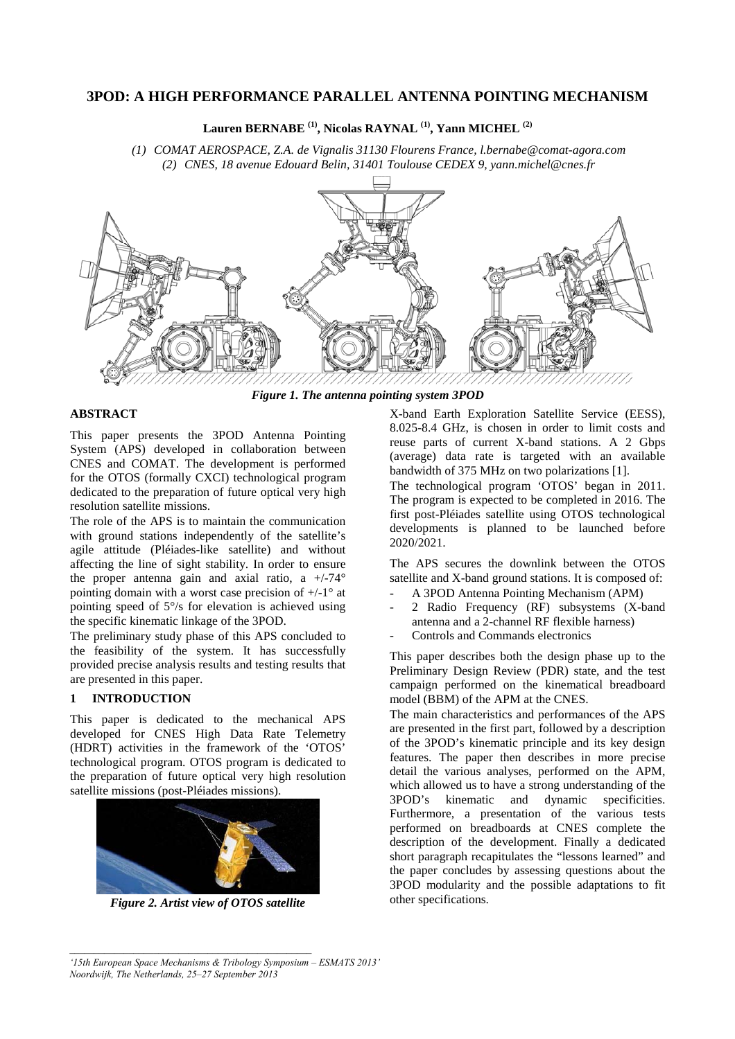# **3POD: A HIGH PERFORMANCE PARALLEL ANTENNA POINTING MECHANISM**

**Lauren BERNABE (1), Nicolas RAYNAL (1), Yann MICHEL (2)**

*(1) COMAT AEROSPACE, Z.A. de Vignalis 31130 Flourens France, l.bernabe@comat-agora.com (2) CNES, 18 avenue Edouard Belin, 31401 Toulouse CEDEX 9, yann.michel@cnes.fr* 



## **ABSTRACT**

This paper presents the 3POD Antenna Pointing System (APS) developed in collaboration between CNES and COMAT. The development is performed for the OTOS (formally CXCI) technological program dedicated to the preparation of future optical very high resolution satellite missions.

The role of the APS is to maintain the communication with ground stations independently of the satellite's agile attitude (Pléiades-like satellite) and without affecting the line of sight stability. In order to ensure the proper antenna gain and axial ratio, a  $+/-74^{\circ}$ pointing domain with a worst case precision of  $+/-1$ ° at pointing speed of 5°/s for elevation is achieved using the specific kinematic linkage of the 3POD.

The preliminary study phase of this APS concluded to the feasibility of the system. It has successfully provided precise analysis results and testing results that are presented in this paper.

# **1 INTRODUCTION**

This paper is dedicated to the mechanical APS developed for CNES High Data Rate Telemetry (HDRT) activities in the framework of the 'OTOS' technological program. OTOS program is dedicated to the preparation of future optical very high resolution satellite missions (post-Pléiades missions).



*Figure 2. Artist view of OTOS satellite* 

X-band Earth Exploration Satellite Service (EESS), 8.025-8.4 GHz, is chosen in order to limit costs and reuse parts of current X-band stations. A 2 Gbps (average) data rate is targeted with an available bandwidth of 375 MHz on two polarizations [1].

The technological program 'OTOS' began in 2011. The program is expected to be completed in 2016. The first post-Pléiades satellite using OTOS technological developments is planned to be launched before 2020/2021.

The APS secures the downlink between the OTOS satellite and X-band ground stations. It is composed of:

- A 3POD Antenna Pointing Mechanism (APM)
- 2 Radio Frequency (RF) subsystems (X-band antenna and a 2-channel RF flexible harness)
- Controls and Commands electronics

This paper describes both the design phase up to the Preliminary Design Review (PDR) state, and the test campaign performed on the kinematical breadboard model (BBM) of the APM at the CNES.

The main characteristics and performances of the APS are presented in the first part, followed by a description of the 3POD's kinematic principle and its key design features. The paper then describes in more precise detail the various analyses, performed on the APM, which allowed us to have a strong understanding of the 3POD's kinematic and dynamic specificities. Furthermore, a presentation of the various tests performed on breadboards at CNES complete the description of the development. Finally a dedicated short paragraph recapitulates the "lessons learned" and the paper concludes by assessing questions about the 3POD modularity and the possible adaptations to fit other specifications.

*<sup>&#</sup>x27;15th European Space Mechanisms & Tribology Symposium – ESMATS 2013' Noordwijk, The Netherlands, 25–27 September 2013*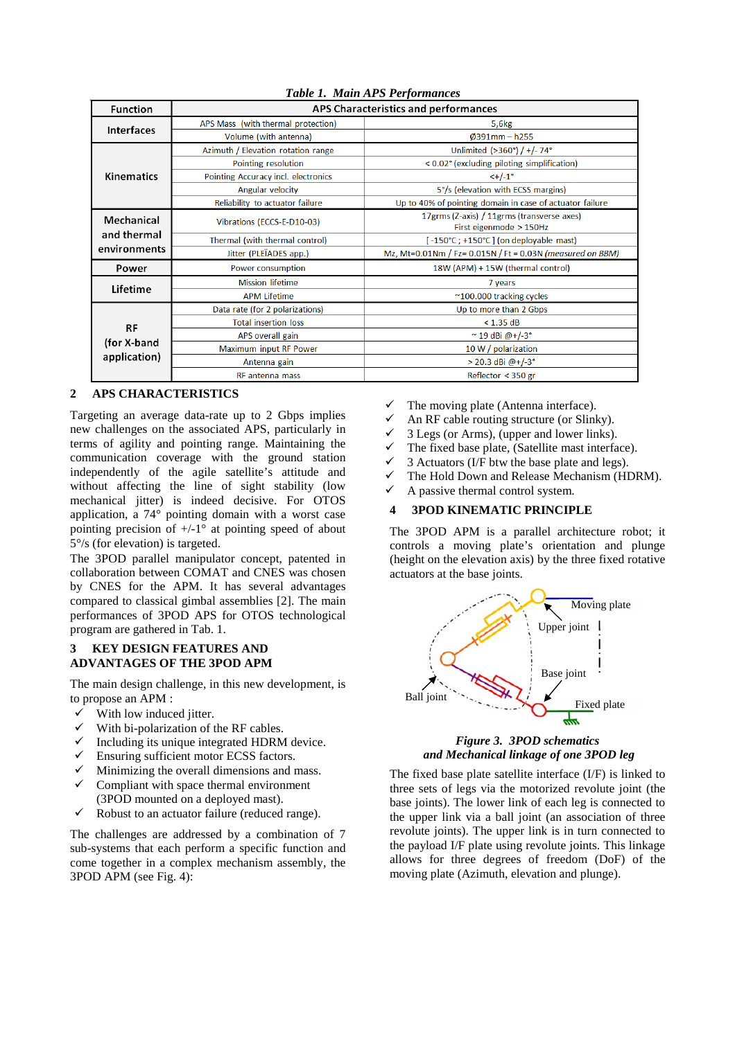| <b>Function</b>                           | APS Characteristics and performances |                                                                       |  |
|-------------------------------------------|--------------------------------------|-----------------------------------------------------------------------|--|
| <b>Interfaces</b>                         | APS Mass (with thermal protection)   | 5,6kg                                                                 |  |
|                                           | Volume (with antenna)                | $0391$ mm - h255                                                      |  |
| Kinematics                                | Azimuth / Elevation rotation range   | Unlimited (>360°) / +/- 74°                                           |  |
|                                           | Pointing resolution                  | < 0.02° (excluding piloting simplification)                           |  |
|                                           | Pointing Accuracy incl. electronics  | $<+/-1$ °                                                             |  |
|                                           | Angular velocity                     | 5°/s (elevation with ECSS margins)                                    |  |
|                                           | Reliability to actuator failure      | Up to 40% of pointing domain in case of actuator failure              |  |
| Mechanical<br>and thermal<br>environments | Vibrations (ECCS-E-D10-03)           | 17grms (Z-axis) / 11grms (transverse axes)<br>First eigenmode > 150Hz |  |
|                                           | Thermal (with thermal control)       | [-150°C; +150°C] (on deployable mast)                                 |  |
|                                           | Jitter (PLEÏADES app.)               | Mz, Mt=0.01Nm / Fz= 0.015N / Ft = 0.03N (measured on BBM)             |  |
| Power                                     | Power consumption                    | 18W (APM) + 15W (thermal control)                                     |  |
| Lifetime                                  | <b>Mission lifetime</b>              | 7 years                                                               |  |
|                                           | <b>APM Lifetime</b>                  | ~100.000 tracking cycles                                              |  |
|                                           | Data rate (for 2 polarizations)      | Up to more than 2 Gbps                                                |  |
| RF<br>(for X-band<br>application)         | <b>Total insertion loss</b>          | < 1.35 dB                                                             |  |
|                                           | APS overall gain                     | $~^{\circ}$ 19 dBi @+/-3°                                             |  |
|                                           | Maximum input RF Power               | 10 W / polarization                                                   |  |
|                                           | Antenna gain                         | > 20.3 dBi @+/-3°                                                     |  |
|                                           | <b>RF</b> antenna mass               | Reflector < 350 gr                                                    |  |

## *Table 1. Main APS Performances*

# **2 APS CHARACTERISTICS**

Targeting an average data-rate up to 2 Gbps implies new challenges on the associated APS, particularly in terms of agility and pointing range. Maintaining the communication coverage with the ground station independently of the agile satellite's attitude and without affecting the line of sight stability (low mechanical jitter) is indeed decisive. For OTOS application, a 74° pointing domain with a worst case pointing precision of  $+/-1$ ° at pointing speed of about 5°/s (for elevation) is targeted.

The 3POD parallel manipulator concept, patented in collaboration between COMAT and CNES was chosen by CNES for the APM. It has several advantages compared to classical gimbal assemblies [2]. The main performances of 3POD APS for OTOS technological program are gathered in Tab. 1.

# **3 KEY DESIGN FEATURES AND ADVANTAGES OF THE 3POD APM**

The main design challenge, in this new development, is to propose an APM :

- $\checkmark$  With low induced jitter.
- With bi-polarization of the RF cables.
- Including its unique integrated HDRM device.
- Ensuring sufficient motor ECSS factors.
- Minimizing the overall dimensions and mass.
- $\checkmark$  Compliant with space thermal environment (3POD mounted on a deployed mast).
- $\checkmark$  Robust to an actuator failure (reduced range).

The challenges are addressed by a combination of 7 sub-systems that each perform a specific function and come together in a complex mechanism assembly, the 3POD APM (see Fig. 4):

- The moving plate (Antenna interface).
- An RF cable routing structure (or Slinky).<br>  $\angle$  3 Legs (or Arms) (upper and laures lists)
- 3 Legs (or Arms), (upper and lower links).
- The fixed base plate, (Satellite mast interface).
- 3 Actuators (I/F btw the base plate and legs).
- $\checkmark$  The Hold Down and Release Mechanism (HDRM).
- $\checkmark$  A passive thermal control system.

#### **4 3POD KINEMATIC PRINCIPLE**

The 3POD APM is a parallel architecture robot; it controls a moving plate's orientation and plunge (height on the elevation axis) by the three fixed rotative actuators at the base joints.



### *Figure 3. 3POD schematics and Mechanical linkage of one 3POD leg*

The fixed base plate satellite interface (I/F) is linked to three sets of legs via the motorized revolute joint (the base joints). The lower link of each leg is connected to the upper link via a ball joint (an association of three revolute joints). The upper link is in turn connected to the payload I/F plate using revolute joints. This linkage allows for three degrees of freedom (DoF) of the moving plate (Azimuth, elevation and plunge).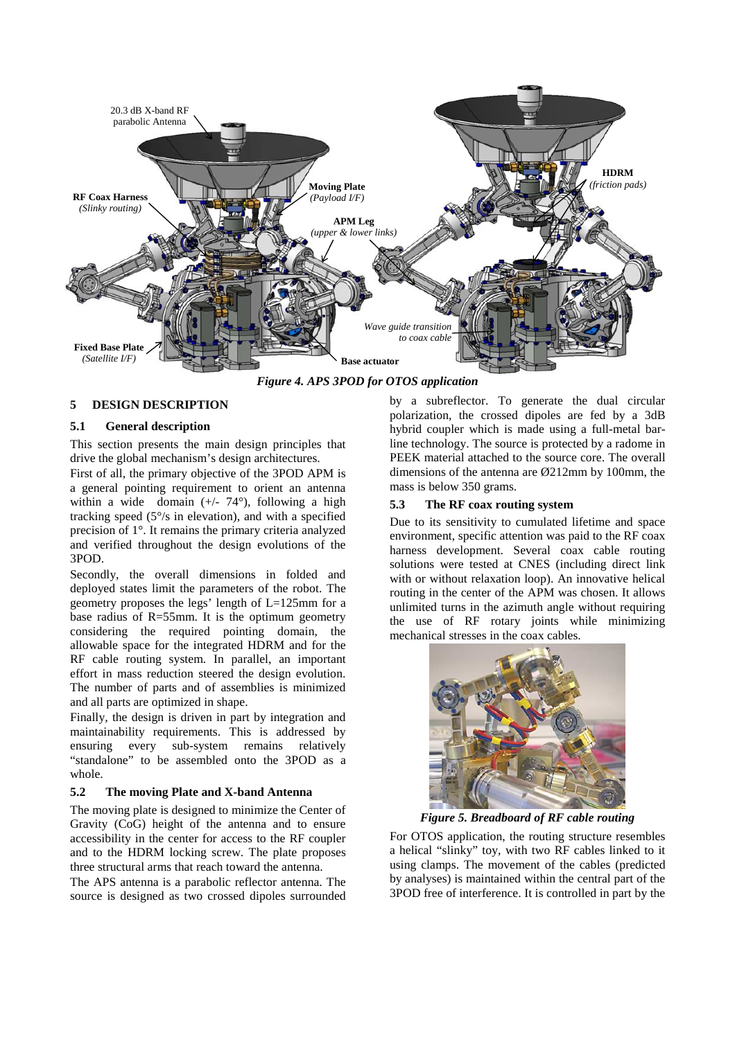

*Figure 4. APS 3POD for OTOS application* 

# **5 DESIGN DESCRIPTION**

# **5.1 General description**

This section presents the main design principles that drive the global mechanism's design architectures.

First of all, the primary objective of the 3POD APM is a general pointing requirement to orient an antenna within a wide domain  $(+/- 74^{\circ})$ , following a high tracking speed (5°/s in elevation), and with a specified precision of 1°. It remains the primary criteria analyzed and verified throughout the design evolutions of the 3POD.

Secondly, the overall dimensions in folded and deployed states limit the parameters of the robot. The geometry proposes the legs' length of L=125mm for a base radius of R=55mm. It is the optimum geometry considering the required pointing domain, the allowable space for the integrated HDRM and for the RF cable routing system. In parallel, an important effort in mass reduction steered the design evolution. The number of parts and of assemblies is minimized and all parts are optimized in shape.

Finally, the design is driven in part by integration and maintainability requirements. This is addressed by ensuring every sub-system remains relatively "standalone" to be assembled onto the 3POD as a whole.

### **5.2 The moving Plate and X-band Antenna**

The moving plate is designed to minimize the Center of Gravity (CoG) height of the antenna and to ensure accessibility in the center for access to the RF coupler and to the HDRM locking screw. The plate proposes three structural arms that reach toward the antenna.

The APS antenna is a parabolic reflector antenna. The source is designed as two crossed dipoles surrounded by a subreflector. To generate the dual circular polarization, the crossed dipoles are fed by a 3dB hybrid coupler which is made using a full-metal barline technology. The source is protected by a radome in PEEK material attached to the source core. The overall dimensions of the antenna are Ø212mm by 100mm, the mass is below 350 grams.

## **5.3 The RF coax routing system**

Due to its sensitivity to cumulated lifetime and space environment, specific attention was paid to the RF coax harness development. Several coax cable routing solutions were tested at CNES (including direct link with or without relaxation loop). An innovative helical routing in the center of the APM was chosen. It allows unlimited turns in the azimuth angle without requiring the use of RF rotary joints while minimizing mechanical stresses in the coax cables.



*Figure 5. Breadboard of RF cable routing* 

For OTOS application, the routing structure resembles a helical "slinky" toy, with two RF cables linked to it using clamps. The movement of the cables (predicted by analyses) is maintained within the central part of the 3POD free of interference. It is controlled in part by the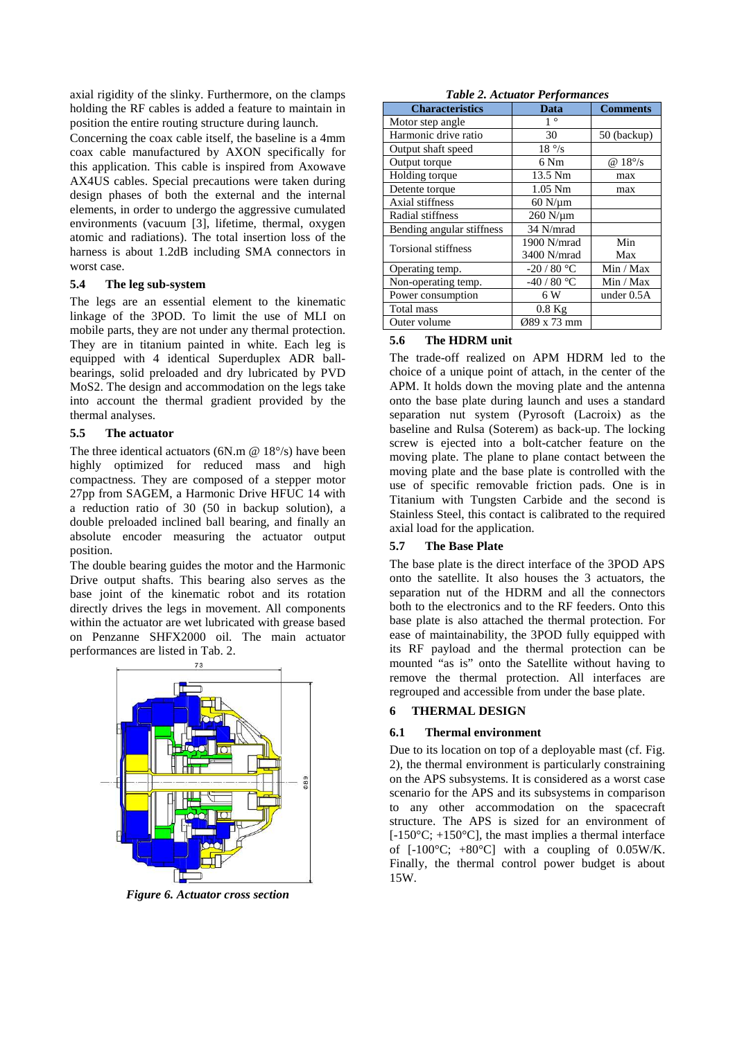axial rigidity of the slinky. Furthermore, on the clamps holding the RF cables is added a feature to maintain in position the entire routing structure during launch.

Concerning the coax cable itself, the baseline is a 4mm coax cable manufactured by AXON specifically for this application. This cable is inspired from Axowave AX4US cables. Special precautions were taken during design phases of both the external and the internal elements, in order to undergo the aggressive cumulated environments (vacuum [3], lifetime, thermal, oxygen atomic and radiations). The total insertion loss of the harness is about 1.2dB including SMA connectors in worst case.

### **5.4 The leg sub-system**

The legs are an essential element to the kinematic linkage of the 3POD. To limit the use of MLI on mobile parts, they are not under any thermal protection. They are in titanium painted in white. Each leg is equipped with 4 identical Superduplex ADR ballbearings, solid preloaded and dry lubricated by PVD MoS2. The design and accommodation on the legs take into account the thermal gradient provided by the thermal analyses.

### **5.5 The actuator**

The three identical actuators (6N.m  $\omega$  18°/s) have been highly optimized for reduced mass and high compactness. They are composed of a stepper motor 27pp from SAGEM, a Harmonic Drive HFUC 14 with a reduction ratio of 30 (50 in backup solution), a double preloaded inclined ball bearing, and finally an absolute encoder measuring the actuator output position.

The double bearing guides the motor and the Harmonic Drive output shafts. This bearing also serves as the base joint of the kinematic robot and its rotation directly drives the legs in movement. All components within the actuator are wet lubricated with grease based on Penzanne SHFX2000 oil. The main actuator performances are listed in Tab. 2.



*Figure 6. Actuator cross section* 

| <b>Table 2. Actuator Performances</b> |  |
|---------------------------------------|--|
|---------------------------------------|--|

| <i>raone 2.12000001 1 erformances</i> |                  |                 |  |  |
|---------------------------------------|------------------|-----------------|--|--|
| <b>Characteristics</b>                | Data             | <b>Comments</b> |  |  |
| Motor step angle                      | $1^{\circ}$      |                 |  |  |
| Harmonic drive ratio                  | 30               | 50 (backup)     |  |  |
| Output shaft speed                    | $18\degree$ /s   |                 |  |  |
| Output torque                         | 6 Nm             | $@18^{\circ}/s$ |  |  |
| Holding torque                        | 13.5 Nm          | max             |  |  |
| Detente torque                        | $1.05$ Nm        | max             |  |  |
| Axial stiffness                       | $60$ N/ $\mu$ m  |                 |  |  |
| Radial stiffness                      | $260$ N/ $\mu$ m |                 |  |  |
| Bending angular stiffness             | 34 N/mrad        |                 |  |  |
| <b>Torsional stiffness</b>            | 1900 N/mrad      | Min             |  |  |
|                                       | 3400 N/mrad      | Max             |  |  |
| Operating temp.                       | $-20/80 °C$      | Min / Max       |  |  |
| Non-operating temp.                   | $-40/80 °C$      | Min / Max       |  |  |
| Power consumption                     | 6 W              | under $0.5A$    |  |  |
| Total mass                            | $0.8$ Kg         |                 |  |  |
| Outer volume                          | Ø89 x 73 mm      |                 |  |  |

### **5.6 The HDRM unit**

The trade-off realized on APM HDRM led to the choice of a unique point of attach, in the center of the APM. It holds down the moving plate and the antenna onto the base plate during launch and uses a standard separation nut system (Pyrosoft (Lacroix) as the baseline and Rulsa (Soterem) as back-up. The locking screw is ejected into a bolt-catcher feature on the moving plate. The plane to plane contact between the moving plate and the base plate is controlled with the use of specific removable friction pads. One is in Titanium with Tungsten Carbide and the second is Stainless Steel, this contact is calibrated to the required axial load for the application.

# **5.7 The Base Plate**

The base plate is the direct interface of the 3POD APS onto the satellite. It also houses the 3 actuators, the separation nut of the HDRM and all the connectors both to the electronics and to the RF feeders. Onto this base plate is also attached the thermal protection. For ease of maintainability, the 3POD fully equipped with its RF payload and the thermal protection can be mounted "as is" onto the Satellite without having to remove the thermal protection. All interfaces are regrouped and accessible from under the base plate.

# **6 THERMAL DESIGN**

### **6.1 Thermal environment**

Due to its location on top of a deployable mast (cf. Fig. 2), the thermal environment is particularly constraining on the APS subsystems. It is considered as a worst case scenario for the APS and its subsystems in comparison to any other accommodation on the spacecraft structure. The APS is sized for an environment of  $[-150\textdegree C; +150\textdegree C]$ , the mast implies a thermal interface of  $[-100^{\circ}\text{C}; +80^{\circ}\text{C}]$  with a coupling of 0.05W/K. Finally, the thermal control power budget is about 15W.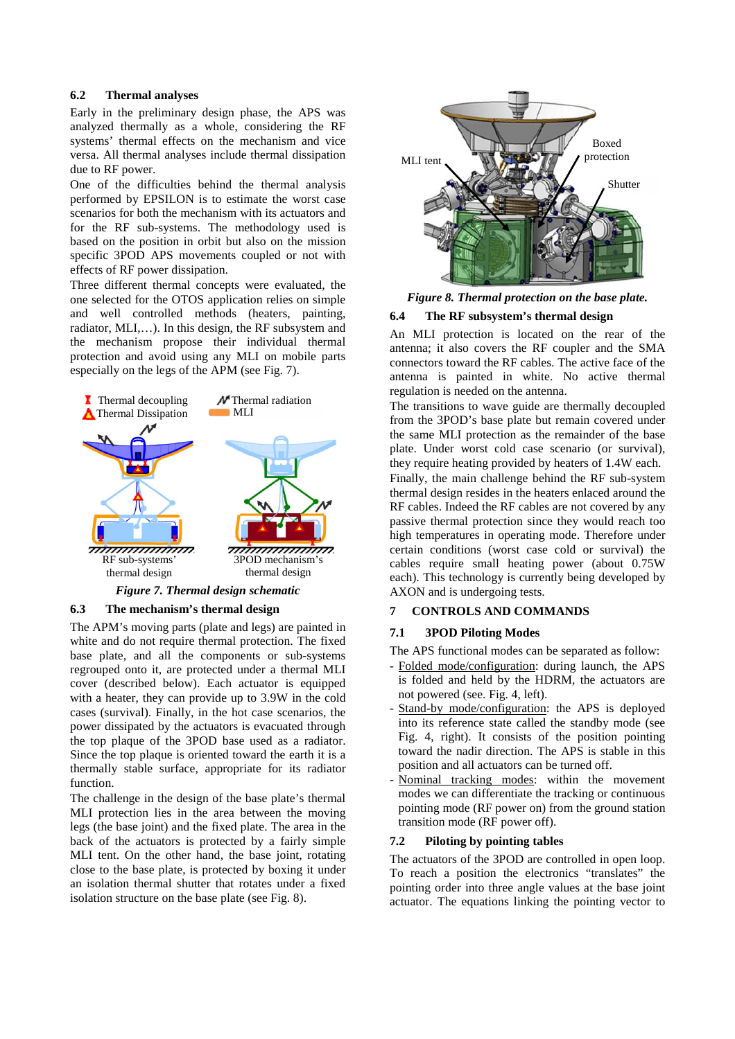### **6.2 Thermal analyses**

Early in the preliminary design phase, the APS was analyzed thermally as a whole, considering the RF systems' thermal effects on the mechanism and vice versa. All thermal analyses include thermal dissipation due to RF power.

One of the difficulties behind the thermal analysis performed by EPSILON is to estimate the worst case scenarios for both the mechanism with its actuators and for the RF sub-systems. The methodology used is based on the position in orbit but also on the mission specific 3POD APS movements coupled or not with effects of RF power dissipation.

Three different thermal concepts were evaluated, the one selected for the OTOS application relies on simple and well controlled methods (heaters, painting, radiator, MLI,…). In this design, the RF subsystem and the mechanism propose their individual thermal protection and avoid using any MLI on mobile parts especially on the legs of the APM (see Fig. 7).



# **6.3 The mechanism's thermal design**

The APM's moving parts (plate and legs) are painted in white and do not require thermal protection. The fixed base plate, and all the components or sub-systems regrouped onto it, are protected under a thermal MLI cover (described below). Each actuator is equipped with a heater, they can provide up to 3.9W in the cold cases (survival). Finally, in the hot case scenarios, the power dissipated by the actuators is evacuated through the top plaque of the 3POD base used as a radiator. Since the top plaque is oriented toward the earth it is a thermally stable surface, appropriate for its radiator function.

The challenge in the design of the base plate's thermal MLI protection lies in the area between the moving legs (the base joint) and the fixed plate. The area in the back of the actuators is protected by a fairly simple MLI tent. On the other hand, the base joint, rotating close to the base plate, is protected by boxing it under an isolation thermal shutter that rotates under a fixed isolation structure on the base plate (see Fig. 8).



*Figure 8. Thermal protection on the base plate.* 

# **6.4 The RF subsystem's thermal design**

An MLI protection is located on the rear of the antenna; it also covers the RF coupler and the SMA connectors toward the RF cables. The active face of the antenna is painted in white. No active thermal regulation is needed on the antenna.

The transitions to wave guide are thermally decoupled from the 3POD's base plate but remain covered under the same MLI protection as the remainder of the base plate. Under worst cold case scenario (or survival), they require heating provided by heaters of 1.4W each.

Finally, the main challenge behind the RF sub-system thermal design resides in the heaters enlaced around the RF cables. Indeed the RF cables are not covered by any passive thermal protection since they would reach too high temperatures in operating mode. Therefore under certain conditions (worst case cold or survival) the cables require small heating power (about 0.75W each). This technology is currently being developed by AXON and is undergoing tests.

# **7 CONTROLS AND COMMANDS**

# **7.1 3POD Piloting Modes**

The APS functional modes can be separated as follow:

- Folded mode/configuration: during launch, the APS is folded and held by the HDRM, the actuators are not powered (see. Fig. 4, left).
- Stand-by mode/configuration: the APS is deployed into its reference state called the standby mode (see Fig. 4, right). It consists of the position pointing toward the nadir direction. The APS is stable in this position and all actuators can be turned off.
- Nominal tracking modes: within the movement modes we can differentiate the tracking or continuous pointing mode (RF power on) from the ground station transition mode (RF power off).

# **7.2 Piloting by pointing tables**

The actuators of the 3POD are controlled in open loop. To reach a position the electronics "translates" the pointing order into three angle values at the base joint actuator. The equations linking the pointing vector to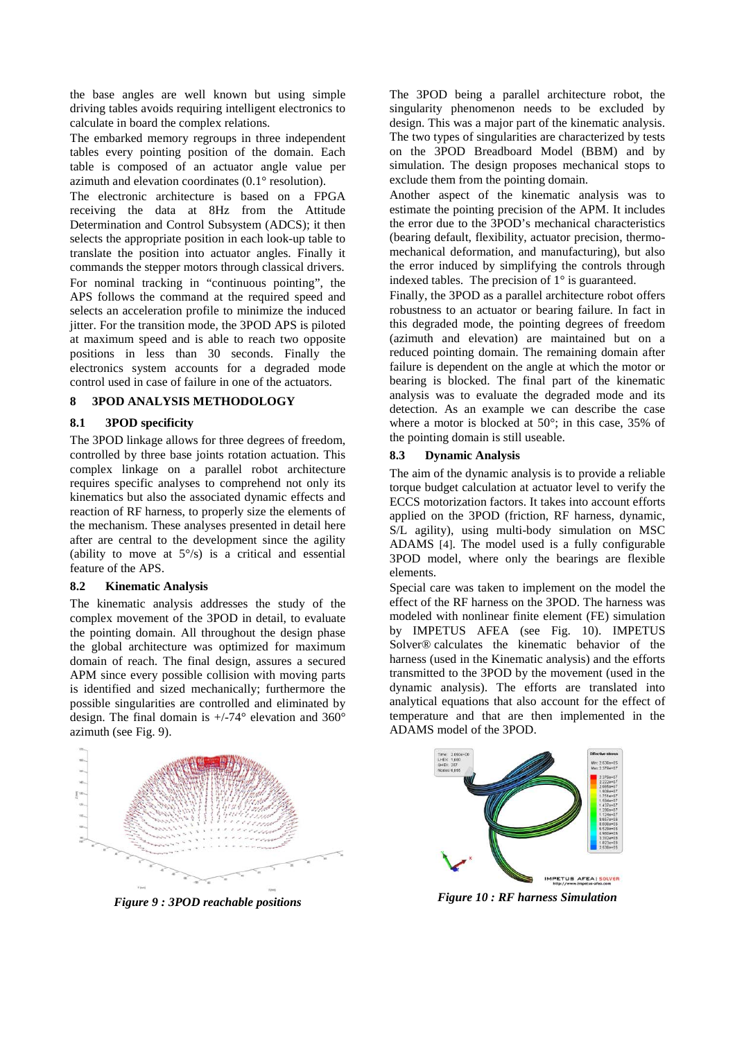the base angles are well known but using simple driving tables avoids requiring intelligent electronics to calculate in board the complex relations.

The embarked memory regroups in three independent tables every pointing position of the domain. Each table is composed of an actuator angle value per azimuth and elevation coordinates (0.1° resolution).

The electronic architecture is based on a FPGA receiving the data at 8Hz from the Attitude Determination and Control Subsystem (ADCS); it then selects the appropriate position in each look-up table to translate the position into actuator angles. Finally it commands the stepper motors through classical drivers. For nominal tracking in "continuous pointing", the APS follows the command at the required speed and selects an acceleration profile to minimize the induced jitter. For the transition mode, the 3POD APS is piloted at maximum speed and is able to reach two opposite positions in less than 30 seconds. Finally the electronics system accounts for a degraded mode control used in case of failure in one of the actuators.

# **8 3POD ANALYSIS METHODOLOGY**

### **8.1 3POD specificity**

The 3POD linkage allows for three degrees of freedom, controlled by three base joints rotation actuation. This complex linkage on a parallel robot architecture requires specific analyses to comprehend not only its kinematics but also the associated dynamic effects and reaction of RF harness, to properly size the elements of the mechanism. These analyses presented in detail here after are central to the development since the agility (ability to move at  $5^{\circ}/s$ ) is a critical and essential feature of the APS.

## **8.2 Kinematic Analysis**

The kinematic analysis addresses the study of the complex movement of the 3POD in detail, to evaluate the pointing domain. All throughout the design phase the global architecture was optimized for maximum domain of reach. The final design, assures a secured APM since every possible collision with moving parts is identified and sized mechanically; furthermore the possible singularities are controlled and eliminated by design. The final domain is +/-74° elevation and 360° azimuth (see Fig. 9).



*Figure 9 : 3POD reachable positions* 

The 3POD being a parallel architecture robot, the singularity phenomenon needs to be excluded by design. This was a major part of the kinematic analysis. The two types of singularities are characterized by tests on the 3POD Breadboard Model (BBM) and by simulation. The design proposes mechanical stops to exclude them from the pointing domain.

Another aspect of the kinematic analysis was to estimate the pointing precision of the APM. It includes the error due to the 3POD's mechanical characteristics (bearing default, flexibility, actuator precision, thermomechanical deformation, and manufacturing), but also the error induced by simplifying the controls through indexed tables. The precision of 1° is guaranteed.

Finally, the 3POD as a parallel architecture robot offers robustness to an actuator or bearing failure. In fact in this degraded mode, the pointing degrees of freedom (azimuth and elevation) are maintained but on a reduced pointing domain. The remaining domain after failure is dependent on the angle at which the motor or bearing is blocked. The final part of the kinematic analysis was to evaluate the degraded mode and its detection. As an example we can describe the case where a motor is blocked at 50°; in this case, 35% of the pointing domain is still useable.

### **8.3 Dynamic Analysis**

The aim of the dynamic analysis is to provide a reliable torque budget calculation at actuator level to verify the ECCS motorization factors. It takes into account efforts applied on the 3POD (friction, RF harness, dynamic, S/L agility), using multi-body simulation on MSC ADAMS [4]. The model used is a fully configurable 3POD model, where only the bearings are flexible elements.

Special care was taken to implement on the model the effect of the RF harness on the 3POD. The harness was modeled with nonlinear finite element (FE) simulation by IMPETUS AFEA (see Fig. 10). IMPETUS Solver® calculates the kinematic behavior of the harness (used in the Kinematic analysis) and the efforts transmitted to the 3POD by the movement (used in the dynamic analysis). The efforts are translated into analytical equations that also account for the effect of temperature and that are then implemented in the ADAMS model of the 3POD.



*Figure 10 : RF harness Simulation*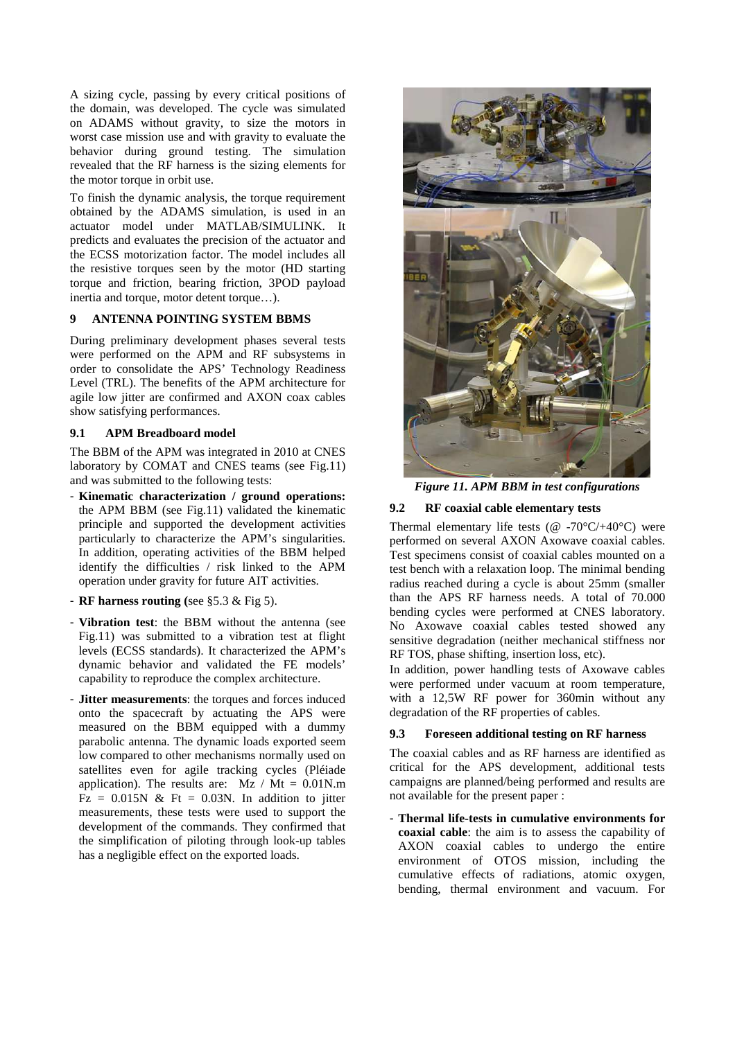A sizing cycle, passing by every critical positions of the domain, was developed. The cycle was simulated on ADAMS without gravity, to size the motors in worst case mission use and with gravity to evaluate the behavior during ground testing. The simulation revealed that the RF harness is the sizing elements for the motor torque in orbit use.

To finish the dynamic analysis, the torque requirement obtained by the ADAMS simulation, is used in an actuator model under MATLAB/SIMULINK. It predicts and evaluates the precision of the actuator and the ECSS motorization factor. The model includes all the resistive torques seen by the motor (HD starting torque and friction, bearing friction, 3POD payload inertia and torque, motor detent torque…).

## **9 ANTENNA POINTING SYSTEM BBMS**

During preliminary development phases several tests were performed on the APM and RF subsystems in order to consolidate the APS' Technology Readiness Level (TRL). The benefits of the APM architecture for agile low jitter are confirmed and AXON coax cables show satisfying performances.

### **9.1 APM Breadboard model**

The BBM of the APM was integrated in 2010 at CNES laboratory by COMAT and CNES teams (see Fig.11) and was submitted to the following tests:

- **Kinematic characterization / ground operations:**  the APM BBM (see Fig.11) validated the kinematic principle and supported the development activities particularly to characterize the APM's singularities. In addition, operating activities of the BBM helped identify the difficulties / risk linked to the APM operation under gravity for future AIT activities.
- **RF harness routing (**see §5.3 & Fig 5).
- **Vibration test**: the BBM without the antenna (see Fig.11) was submitted to a vibration test at flight levels (ECSS standards). It characterized the APM's dynamic behavior and validated the FE models' capability to reproduce the complex architecture.
- **Jitter measurements**: the torques and forces induced onto the spacecraft by actuating the APS were measured on the BBM equipped with a dummy parabolic antenna. The dynamic loads exported seem low compared to other mechanisms normally used on satellites even for agile tracking cycles (Pléiade application). The results are:  $Mz / Mt = 0.01N.m$  $Fz = 0.015N \& Ft = 0.03N$ . In addition to jitter measurements, these tests were used to support the development of the commands. They confirmed that the simplification of piloting through look-up tables has a negligible effect on the exported loads.



*Figure 11. APM BBM in test configurations* 

# **9.2 RF coaxial cable elementary tests**

Thermal elementary life tests ( $@ -70\degree C/ + 40\degree C)$  were performed on several AXON Axowave coaxial cables. Test specimens consist of coaxial cables mounted on a test bench with a relaxation loop. The minimal bending radius reached during a cycle is about 25mm (smaller than the APS RF harness needs. A total of 70.000 bending cycles were performed at CNES laboratory. No Axowave coaxial cables tested showed any sensitive degradation (neither mechanical stiffness nor RF TOS, phase shifting, insertion loss, etc).

In addition, power handling tests of Axowave cables were performed under vacuum at room temperature, with a 12,5W RF power for 360min without any degradation of the RF properties of cables.

# **9.3 Foreseen additional testing on RF harness**

The coaxial cables and as RF harness are identified as critical for the APS development, additional tests campaigns are planned/being performed and results are not available for the present paper :

- **Thermal life-tests in cumulative environments for coaxial cable**: the aim is to assess the capability of AXON coaxial cables to undergo the entire environment of OTOS mission, including the cumulative effects of radiations, atomic oxygen, bending, thermal environment and vacuum. For